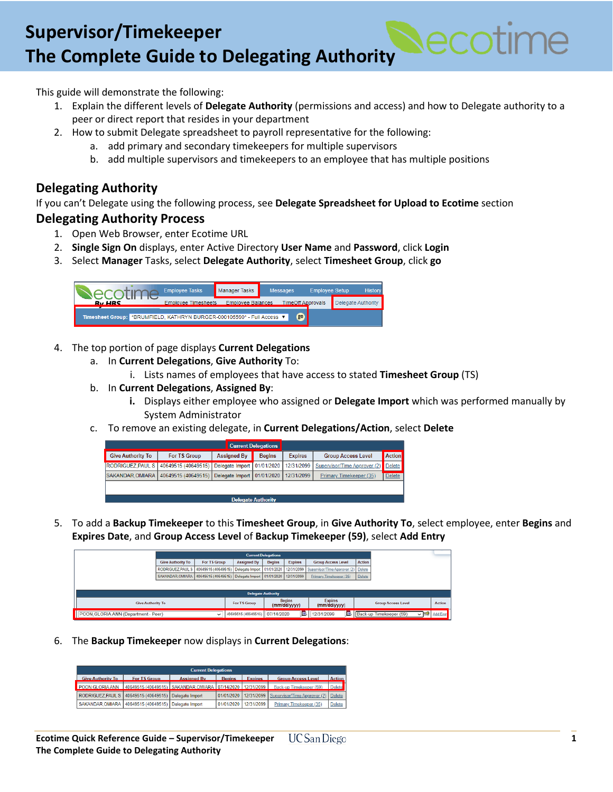# **Create a Position Create a Position Create a Position Create a Position Create a Position Create a Position Create a Position Create a Position Create a Position Create a Position Create a Position Create a Position Creat The Complete Guide to Delegating Authority**

This guide will demonstrate the following:

- 1. Explain the different levels of **Delegate Authority** (permissions and access) and how to Delegate authority to a peer or direct report that resides in your department
- 2. How to submit Delegate spreadsheet to payroll representative for the following:
	- a. add primary and secondary timekeepers for multiple supervisors
	- b. add multiple supervisors and timekeepers to an employee that has multiple positions

#### **Delegating Authority**

If you can't Delegate using the following process, see **Delegate Spreadsheet for Upload to Ecotime** section

#### **Delegating Authority Process**

- 1. Open Web Browser, enter Ecotime URL
- 2. **Single Sign On** displays, enter Active Directory **User Name** and **Password**, click **Login**
- 3. Select **Manager** Tasks, select **Delegate Authority**, select **Timesheet Group**, click **go**



- 4. The top portion of page displays **Current Delegations**
	- a. In **Current Delegations**, **Give Authority** To:
		- i. Lists names of employees that have access to stated **Timesheet Group** (TS)
	- b. In **Current Delegations**, **Assigned By**:
		- **i.** Displays either employee who assigned or **Delegate Import** which was performed manually by System Administrator
	- c. To remove an existing delegate, in **Current Delegations/Action**, select **Delete**

| <b>Current Delegations</b> |                                       |                              |               |                |                              |               |  |
|----------------------------|---------------------------------------|------------------------------|---------------|----------------|------------------------------|---------------|--|
| <b>Give Authority To</b>   | For TS Group                          | <b>Assigned By</b>           | <b>Begins</b> | <b>Expires</b> | <b>Group Access Level</b>    | <b>Action</b> |  |
|                            | RODRIGUEZ, PAUL S 40649515 (40649515) | Delegate Import   01/01/2020 |               | 12/31/2099     | Supervisor/Time Approver (2) | <b>Delete</b> |  |
| SAKANDAR.OMIARA            | 40649515 (40649515)                   | Delegate Import              | 01/01/2020    | 12/31/2099     | Primary Timekeeper (35)      | <b>Delete</b> |  |
|                            |                                       |                              |               |                |                              |               |  |
| Delegate Authority         |                                       |                              |               |                |                              |               |  |

5. To add a **Backup Timekeeper** to this **Timesheet Group**, in **Give Authority To**, select employee, enter **Begins** and **Expires Date**, and **Group Access Level** of **Backup Timekeeper (59)**, select **Add Entry**

| <b>Current Delegations</b>                          |                                                                      |              |                     |                               |                                |                                                |                           |                                             |                 |
|-----------------------------------------------------|----------------------------------------------------------------------|--------------|---------------------|-------------------------------|--------------------------------|------------------------------------------------|---------------------------|---------------------------------------------|-----------------|
|                                                     | <b>Give Authority To</b>                                             | For TS Group | <b>Assigned By</b>  | <b>Begins</b>                 | <b>Expires</b>                 | <b>Group Access Level</b>                      | Action                    |                                             |                 |
|                                                     | RODRIGUEZ, PAUL S 40649515 (40649515)   Delegate Import   01/01/2020 |              |                     |                               |                                | 12/31/2099 Supervisor/Time Approver (2) Delete |                           |                                             |                 |
|                                                     | SAKANDAR OMIARA 40649515 (40649515)   Delegate Import   01/01/2020   |              |                     |                               | 12/31/2099                     | Primary Timekeeper (35)                        | Delete                    |                                             |                 |
|                                                     |                                                                      |              |                     |                               |                                |                                                |                           |                                             |                 |
| <b>Delegate Authority</b>                           |                                                                      |              |                     |                               |                                |                                                |                           |                                             |                 |
| <b>Give Authority To</b><br>For TS Group            |                                                                      |              |                     | <b>Begins</b><br>(mm/dd/yyyy) | <b>Expires</b><br>(mm/dd/yyyy) |                                                | <b>Group Access Level</b> | Action                                      |                 |
| POON GLORIA ANN (Department - Peer)<br>$\checkmark$ |                                                                      |              | 40649515 (40649515) | 07/14/2020                    | 國                              | 12/31/2099                                     |                           | Back-up Timekeeper (59)<br>$\sim$ $\approx$ | <b>Add Entr</b> |

6. The **Backup Timekeeper** now displays in **Current Delegations**:

| <b>Current Delegations</b> |                                                            |                    |               |                |                              |               |  |
|----------------------------|------------------------------------------------------------|--------------------|---------------|----------------|------------------------------|---------------|--|
| Give Authority To          | For TS Group                                               | <b>Assigned By</b> | <b>Begins</b> | <b>Expires</b> | <b>Group Access Level</b>    | <b>Action</b> |  |
| POON GLORIA ANN            | 40649515 (40649515) SAKANDAR OMIARA 107/14/2020 12/31/2099 |                    |               |                | Back-up Timekeeper (59)      | <b>Delete</b> |  |
|                            | RODRIGUEZ, PAUL S 40649515 (40649515) Delegate Import      |                    | 01/01/2020    | 12/31/2099     | Supervisor/Time Approver (2) | <b>Delete</b> |  |
| SAKANDAR.OMIARA            | 40649515 (40649515)                                        | Delegate Import    | 01/01/2020    | 12/31/2099     | Primary Timekeeper (35)      | <b>Delete</b> |  |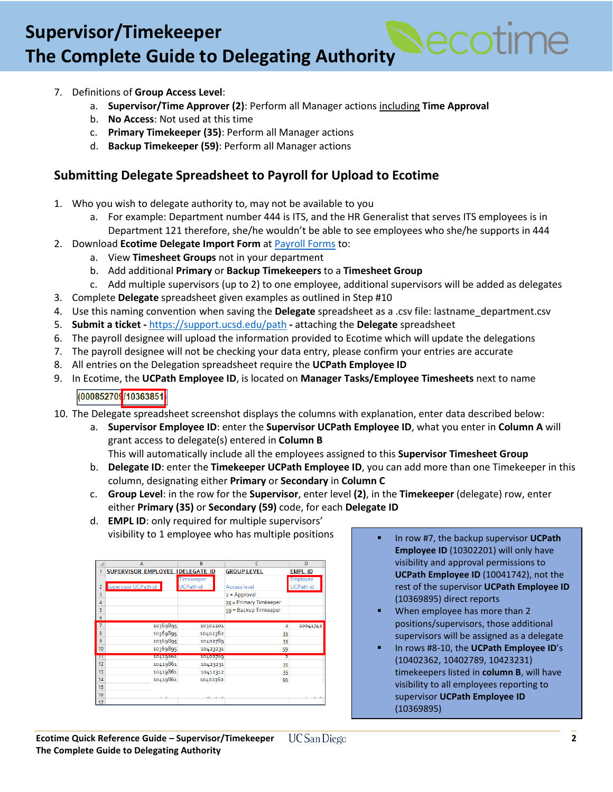# **Create a Position Create a Position Create a Position Create a Position Create a Position Create a Position Create a Position Create a Position Create a Position Create a Position Create a Position Create a Position Creat The Complete Guide to Delegating Authority**

- 7. Definitions of **Group Access Level**:
	- a. **Supervisor/Time Approver (2)**: Perform all Manager actions including **Time Approval**
	- b. **No Access**: Not used at this time
	- c. **Primary Timekeeper (35)**: Perform all Manager actions
	- d. **Backup Timekeeper (59)**: Perform all Manager actions

## **Submitting Delegate Spreadsheet to Payroll for Upload to Ecotime**

- 1. Who you wish to delegate authority to, may not be available to you
	- a. For example: Department number 444 is ITS, and the HR Generalist that serves ITS employees is in Department 121 therefore, she/he wouldn't be able to see employees who she/he supports in 444
- 2. Download **Ecotime Delegate Import Form** at [Payroll Forms](https://blink.ucsd.edu/sponsor/BFS/divisions/payroll/forms.html) to:
	- a. View **Timesheet Groups** not in your department
	- b. Add additional **Primary** or **Backup Timekeepers** to a **Timesheet Group**
	- c. Add multiple supervisors (up to 2) to one employee, additional supervisors will be added as delegates
- 3. Complete **Delegate** spreadsheet given examples as outlined in Step #10
- 4. Use this naming convention when saving the **Delegate** spreadsheet as a .csv file: lastname\_department.csv
- 5. **Submit a ticket -** <https://support.ucsd.edu/path> **-** attaching the **Delegate** spreadsheet
- 6. The payroll designee will upload the information provided to Ecotime which will update the delegations
- 7. The payroll designee will not be checking your data entry, please confirm your entries are accurate
- 8. All entries on the Delegation spreadsheet require the **UCPath Employee ID**
- 9. In Ecotime, the **UCPath Employee ID**, is located on **Manager Tasks/Employee Timesheets** next to name

(000852709<mark>/10363851</mark>

- 10. The Delegate spreadsheet screenshot displays the columns with explanation, enter data described below:
	- a. **Supervisor Employee ID**: enter the **Supervisor UCPath Employee ID**, what you enter in **Column A** will grant access to delegate(s) entered in **Column B**
		- This will automatically include all the employees assigned to this **Supervisor Timesheet Group**
	- b. **Delegate ID**: enter the **Timekeeper UCPath Employee ID**, you can add more than one Timekeeper in this column, designating either **Primary** or **Secondary** in **Column C**
	- c. **Group Level**: in the row for the **Supervisor**, enter level **(2)**, in the **Timekeeper** (delegate) row, enter either **Primary (35)** or **Secondary (59)** code, for each **Delegate ID**
	- d. **EMPL ID**: only required for multiple supervisors' visibility to 1 employee who has multiple positions  $\begin{vmatrix} 1 & 1 \\ 1 & 1 \end{vmatrix}$  In row #7, the backup supervisor UCPath

|                | $\overline{A}$                   | $\overline{R}$  | c                      | Đ                |
|----------------|----------------------------------|-----------------|------------------------|------------------|
|                | SUPERVISOR EMPLOYEE IDELEGATE ID |                 | <b>GROUP LEVEL</b>     | <b>EMPL ID</b>   |
|                |                                  | Timekeeper      |                        | <b>Employee</b>  |
| $\overline{2}$ | Supervisor UCPath id             | <b>UCPathid</b> | <b>Access level</b>    | <b>UCPath id</b> |
| 3              |                                  |                 | $2 = Approval$         |                  |
| $\overline{4}$ |                                  |                 | 35 = Primary Timkeeper |                  |
| 5              |                                  |                 | 59 = Backup Timkeeper  |                  |
| 6              |                                  |                 |                        |                  |
| $\overline{7}$ | 10369895                         | 10302201        | 2                      | 10041742         |
| 8              | 10369895                         | 10402362        | 35                     |                  |
| 9              | 10369895                         | 10402789        | 35                     |                  |
| 10             | 10369895                         | 10423231        | 59                     |                  |
| π              | тогдиеровт                       | 10402709        | z                      |                  |
| 12             | 10419861                         | 10423231        | 35                     |                  |
| 13             | 10419861                         | 10412312        | 35                     |                  |
| 14             | 10419861                         | 10402362        | 59                     |                  |
| 15             |                                  |                 |                        |                  |
| 16             |                                  |                 |                        |                  |
| 17             |                                  |                 |                        |                  |

- **Employee ID** (10302201) will only have visibility and approval permissions to **UCPath Employee ID** (10041742), not the rest of the supervisor **UCPath Employee ID** (10369895) direct reports
- When employee has more than 2 positions/supervisors, those additional supervisors will be assigned as a delegate
- In rows #8-10, the **UCPath Employee ID**'s (10402362, 10402789, 10423231) timekeepers listed in **column B**, will have visibility to all employees reporting to supervisor **UCPath Employee ID** (10369895)